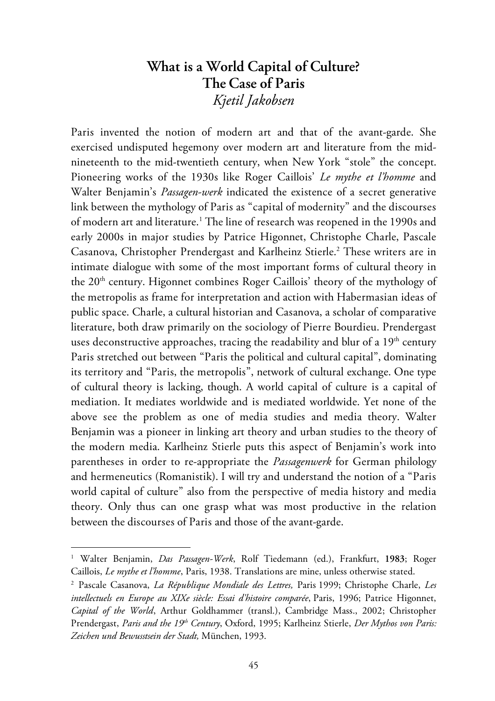# **What is a World Capital of Culture? The Case of Paris** *Kjetil Jakobsen*

Paris invented the notion of modern art and that of the avant-garde. She exercised undisputed hegemony over modern art and literature from the midnineteenth to the mid-twentieth century, when New York "stole" the concept. Pioneering works of the 1930s like Roger Caillois' *Le mythe et l'homme* and Walter Benjamin's *Passagen-werk* indicated the existence of a secret generative link between the mythology of Paris as "capital of modernity" and the discourses of modern art and literature.<sup>1</sup> The line of research was reopened in the 1990s and early 2000s in major studies by Patrice Higonnet, Christophe Charle, Pascale Casanova, Christopher Prendergast and Karlheinz Stierle.<sup>2</sup> These writers are in intimate dialogue with some of the most important forms of cultural theory in the  $20<sup>th</sup>$  century. Higonnet combines Roger Caillois' theory of the mythology of the metropolis as frame for interpretation and action with Habermasian ideas of public space. Charle, a cultural historian and Casanova, a scholar of comparative literature, both draw primarily on the sociology of Pierre Bourdieu. Prendergast uses deconstructive approaches, tracing the readability and blur of a  $19<sup>th</sup>$  century Paris stretched out between "Paris the political and cultural capital", dominating its territory and "Paris, the metropolis", network of cultural exchange. One type of cultural theory is lacking, though. A world capital of culture is a capital of mediation. It mediates worldwide and is mediated worldwide. Yet none of the above see the problem as one of media studies and media theory. Walter Benjamin was a pioneer in linking art theory and urban studies to the theory of the modern media. Karlheinz Stierle puts this aspect of Benjamin's work into parentheses in order to re-appropriate the *Passagenwerk* for German philology and hermeneutics (Romanistik). I will try and understand the notion of a "Paris world capital of culture" also from the perspective of media history and media theory. Only thus can one grasp what was most productive in the relation between the discourses of Paris and those of the avant-garde.

<sup>1</sup> Walter Benjamin, *Das Passagen-Werk*, Rolf Tiedemann (ed.), Frankfurt, **1983**; Roger Caillois, *Le mythe et l'homme*, Paris, 1938. Translations are mine, unless otherwise stated.

<sup>2</sup> Pascale Casanova, *La République Mondiale des Lettres,* Paris 1999; Christophe Charle, *Les intellectuels en Europe au XIXe siècle: Essai d'histoire comparée*, Paris, 1996; Patrice Higonnet, *Capital of the World*, Arthur Goldhammer (transl.), Cambridge Mass., 2002; Christopher Prendergast, *Paris and the 19th Century*, Oxford, 1995; Karlheinz Stierle, *Der Mythos von Paris: Zeichen und Bewusstsein der Stadt,* München, 1993.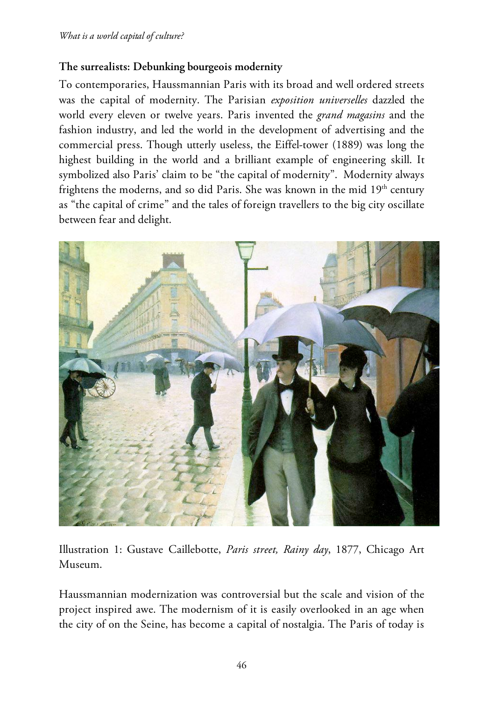## **The surrealists: Debunking bourgeois modernity**

To contemporaries, Haussmannian Paris with its broad and well ordered streets was the capital of modernity. The Parisian *exposition universelles* dazzled the world every eleven or twelve years. Paris invented the *grand magasins* and the fashion industry, and led the world in the development of advertising and the commercial press. Though utterly useless, the Eiffel-tower (1889) was long the highest building in the world and a brilliant example of engineering skill. It symbolized also Paris' claim to be "the capital of modernity". Modernity always frightens the moderns, and so did Paris. She was known in the mid  $19<sup>th</sup>$  century as "the capital of crime" and the tales of foreign travellers to the big city oscillate between fear and delight.



Illustration 1: Gustave Caillebotte, *Paris street, Rainy day*, 1877, Chicago Art Museum.

Haussmannian modernization was controversial but the scale and vision of the project inspired awe. The modernism of it is easily overlooked in an age when the city of on the Seine, has become a capital of nostalgia. The Paris of today is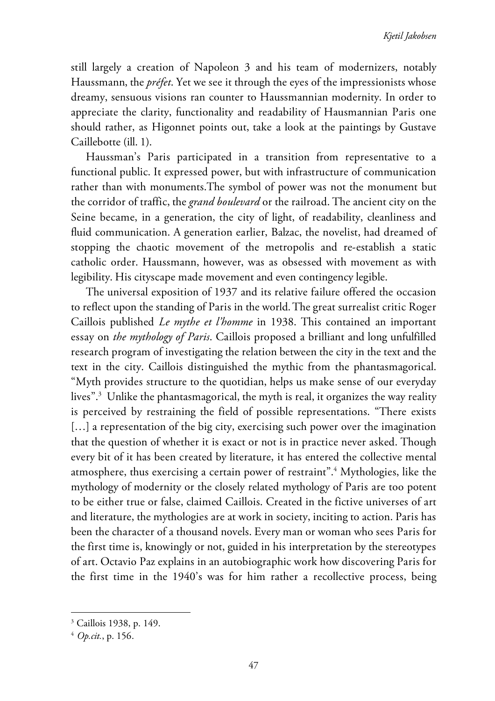still largely a creation of Napoleon 3 and his team of modernizers, notably Haussmann, the *préfet*. Yet we see it through the eyes of the impressionists whose dreamy, sensuous visions ran counter to Haussmannian modernity. In order to appreciate the clarity, functionality and readability of Hausmannian Paris one should rather, as Higonnet points out, take a look at the paintings by Gustave Caillebotte (ill. 1).

Haussman's Paris participated in a transition from representative to a functional public. It expressed power, but with infrastructure of communication rather than with monuments.The symbol of power was not the monument but the corridor of traffic, the *grand boulevard* or the railroad. The ancient city on the Seine became, in a generation, the city of light, of readability, cleanliness and fluid communication. A generation earlier, Balzac, the novelist, had dreamed of stopping the chaotic movement of the metropolis and re-establish a static catholic order. Haussmann, however, was as obsessed with movement as with legibility. His cityscape made movement and even contingency legible.

The universal exposition of 1937 and its relative failure offered the occasion to reflect upon the standing of Paris in the world.The great surrealist critic Roger Caillois published *Le mythe et l'homme* in 1938. This contained an important essay on *the mythology of Paris*. Caillois proposed a brilliant and long unfulfilled research program of investigating the relation between the city in the text and the text in the city. Caillois distinguished the mythic from the phantasmagorical. "Myth provides structure to the quotidian, helps us make sense of our everyday lives".3 Unlike the phantasmagorical, the myth is real, it organizes the way reality is perceived by restraining the field of possible representations. "There exists [...] a representation of the big city, exercising such power over the imagination that the question of whether it is exact or not is in practice never asked. Though every bit of it has been created by literature, it has entered the collective mental atmosphere, thus exercising a certain power of restraint".4 Mythologies, like the mythology of modernity or the closely related mythology of Paris are too potent to be either true or false, claimed Caillois. Created in the fictive universes of art and literature, the mythologies are at work in society, inciting to action. Paris has been the character of a thousand novels. Every man or woman who sees Paris for the first time is, knowingly or not, guided in his interpretation by the stereotypes of art. Octavio Paz explains in an autobiographic work how discovering Paris for the first time in the 1940's was for him rather a recollective process, being

<sup>3</sup> Caillois 1938, p. 149.

<sup>4</sup> *Op.cit.*, p. 156.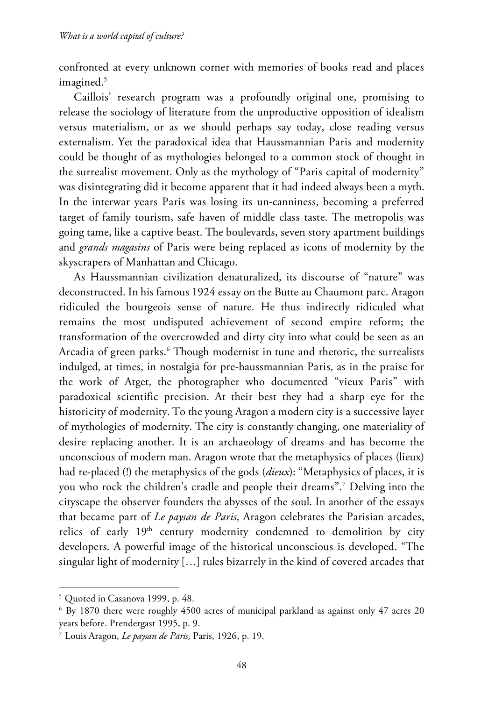confronted at every unknown corner with memories of books read and places imagined.<sup>5</sup>

Caillois' research program was a profoundly original one, promising to release the sociology of literature from the unproductive opposition of idealism versus materialism, or as we should perhaps say today, close reading versus externalism. Yet the paradoxical idea that Haussmannian Paris and modernity could be thought of as mythologies belonged to a common stock of thought in the surrealist movement. Only as the mythology of "Paris capital of modernity" was disintegrating did it become apparent that it had indeed always been a myth. In the interwar years Paris was losing its un-canniness, becoming a preferred target of family tourism, safe haven of middle class taste. The metropolis was going tame, like a captive beast. The boulevards, seven story apartment buildings and *grands magasins* of Paris were being replaced as icons of modernity by the skyscrapers of Manhattan and Chicago.

As Haussmannian civilization denaturalized, its discourse of "nature" was deconstructed. In his famous 1924 essay on the Butte au Chaumont parc. Aragon ridiculed the bourgeois sense of nature. He thus indirectly ridiculed what remains the most undisputed achievement of second empire reform; the transformation of the overcrowded and dirty city into what could be seen as an Arcadia of green parks.<sup>6</sup> Though modernist in tune and rhetoric, the surrealists indulged, at times, in nostalgia for pre-haussmannian Paris, as in the praise for the work of Atget, the photographer who documented "vieux Paris" with paradoxical scientific precision. At their best they had a sharp eye for the historicity of modernity. To the young Aragon a modern city is a successive layer of mythologies of modernity. The city is constantly changing, one materiality of desire replacing another. It is an archaeology of dreams and has become the unconscious of modern man. Aragon wrote that the metaphysics of places (lieux) had re-placed (!) the metaphysics of the gods (*dieux*): "Metaphysics of places, it is you who rock the children's cradle and people their dreams".7 Delving into the cityscape the observer founders the abysses of the soul. In another of the essays that became part of *Le paysan de Paris*, Aragon celebrates the Parisian arcades, relics of early  $19<sup>th</sup>$  century modernity condemned to demolition by city developers. A powerful image of the historical unconscious is developed. "The singular light of modernity […] rules bizarrely in the kind of covered arcades that

<sup>5</sup> Quoted in Casanova 1999, p. 48.

<sup>6</sup> By 1870 there were roughly 4500 acres of municipal parkland as against only 47 acres 20 years before. Prendergast 1995, p. 9.

<sup>7</sup> Louis Aragon, *Le paysan de Paris,* Paris, 1926, p. 19.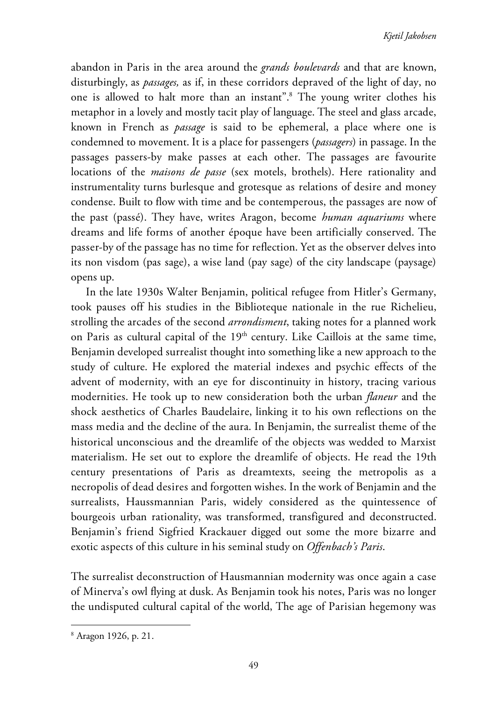abandon in Paris in the area around the *grands boulevards* and that are known, disturbingly, as *passages,* as if, in these corridors depraved of the light of day, no one is allowed to halt more than an instant".<sup>8</sup> The young writer clothes his metaphor in a lovely and mostly tacit play of language. The steel and glass arcade, known in French as *passage* is said to be ephemeral, a place where one is condemned to movement. It is a place for passengers (*passagers*) in passage. In the passages passers-by make passes at each other. The passages are favourite locations of the *maisons de passe* (sex motels, brothels). Here rationality and instrumentality turns burlesque and grotesque as relations of desire and money condense. Built to flow with time and be contemperous, the passages are now of the past (passé). They have, writes Aragon, become *human aquariums* where dreams and life forms of another époque have been artificially conserved. The passer-by of the passage has no time for reflection. Yet as the observer delves into its non visdom (pas sage), a wise land (pay sage) of the city landscape (paysage) opens up.

In the late 1930s Walter Benjamin, political refugee from Hitler's Germany, took pauses off his studies in the Biblioteque nationale in the rue Richelieu, strolling the arcades of the second *arrondisment*, taking notes for a planned work on Paris as cultural capital of the  $19<sup>th</sup>$  century. Like Caillois at the same time, Benjamin developed surrealist thought into something like a new approach to the study of culture. He explored the material indexes and psychic effects of the advent of modernity, with an eye for discontinuity in history, tracing various modernities. He took up to new consideration both the urban *flaneur* and the shock aesthetics of Charles Baudelaire, linking it to his own reflections on the mass media and the decline of the aura. In Benjamin, the surrealist theme of the historical unconscious and the dreamlife of the objects was wedded to Marxist materialism. He set out to explore the dreamlife of objects. He read the 19th century presentations of Paris as dreamtexts, seeing the metropolis as a necropolis of dead desires and forgotten wishes. In the work of Benjamin and the surrealists, Haussmannian Paris, widely considered as the quintessence of bourgeois urban rationality, was transformed, transfigured and deconstructed. Benjamin's friend Sigfried Krackauer digged out some the more bizarre and exotic aspects of this culture in his seminal study on *Offenbach's Paris*.

The surrealist deconstruction of Hausmannian modernity was once again a case of Minerva's owl flying at dusk. As Benjamin took his notes, Paris was no longer the undisputed cultural capital of the world, The age of Parisian hegemony was

<sup>8</sup> Aragon 1926, p. 21.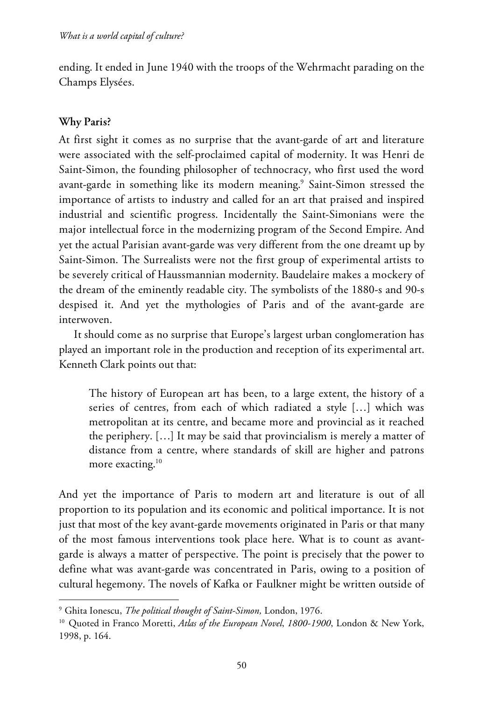ending. It ended in June 1940 with the troops of the Wehrmacht parading on the Champs Elysées.

## **Why Paris?**

 $\overline{a}$ 

At first sight it comes as no surprise that the avant-garde of art and literature were associated with the self-proclaimed capital of modernity. It was Henri de Saint-Simon, the founding philosopher of technocracy, who first used the word avant-garde in something like its modern meaning.<sup>9</sup> Saint-Simon stressed the importance of artists to industry and called for an art that praised and inspired industrial and scientific progress. Incidentally the Saint-Simonians were the major intellectual force in the modernizing program of the Second Empire. And yet the actual Parisian avant-garde was very different from the one dreamt up by Saint-Simon. The Surrealists were not the first group of experimental artists to be severely critical of Haussmannian modernity. Baudelaire makes a mockery of the dream of the eminently readable city. The symbolists of the 1880-s and 90-s despised it. And yet the mythologies of Paris and of the avant-garde are interwoven.

It should come as no surprise that Europe's largest urban conglomeration has played an important role in the production and reception of its experimental art. Kenneth Clark points out that:

The history of European art has been, to a large extent, the history of a series of centres, from each of which radiated a style […] which was metropolitan at its centre, and became more and provincial as it reached the periphery. […] It may be said that provincialism is merely a matter of distance from a centre, where standards of skill are higher and patrons more exacting.<sup>10</sup>

And yet the importance of Paris to modern art and literature is out of all proportion to its population and its economic and political importance. It is not just that most of the key avant-garde movements originated in Paris or that many of the most famous interventions took place here. What is to count as avantgarde is always a matter of perspective. The point is precisely that the power to define what was avant-garde was concentrated in Paris, owing to a position of cultural hegemony. The novels of Kafka or Faulkner might be written outside of

<sup>9</sup> Ghita Ionescu, *The political thought of Saint-Simon,* London, 1976.

<sup>&</sup>lt;sup>10</sup> Quoted in Franco Moretti, *Atlas of the European Novel*, 1800-1900, London & New York, 1998, p. 164.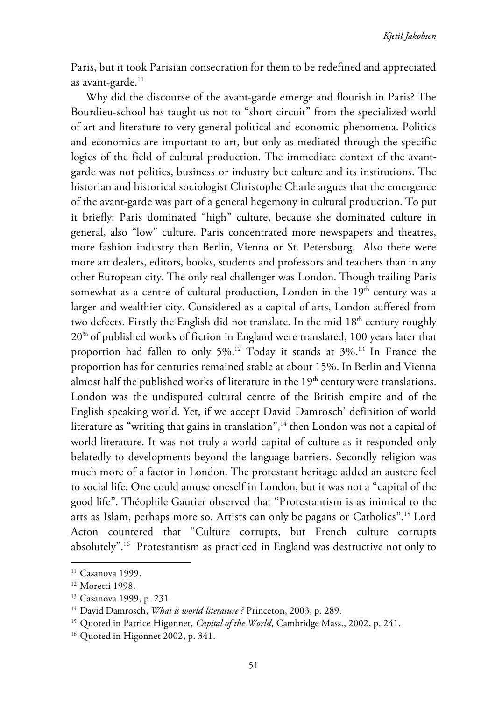Paris, but it took Parisian consecration for them to be redefined and appreciated as avant-garde. $^{11}$ 

Why did the discourse of the avant-garde emerge and flourish in Paris? The Bourdieu-school has taught us not to "short circuit" from the specialized world of art and literature to very general political and economic phenomena. Politics and economics are important to art, but only as mediated through the specific logics of the field of cultural production. The immediate context of the avantgarde was not politics, business or industry but culture and its institutions. The historian and historical sociologist Christophe Charle argues that the emergence of the avant-garde was part of a general hegemony in cultural production. To put it briefly: Paris dominated "high" culture, because she dominated culture in general, also "low" culture. Paris concentrated more newspapers and theatres, more fashion industry than Berlin, Vienna or St. Petersburg. Also there were more art dealers, editors, books, students and professors and teachers than in any other European city. The only real challenger was London. Though trailing Paris somewhat as a centre of cultural production, London in the  $19<sup>th</sup>$  century was a larger and wealthier city. Considered as a capital of arts, London suffered from two defects. Firstly the English did not translate. In the mid  $18<sup>th</sup>$  century roughly 20% of published works of fiction in England were translated, 100 years later that proportion had fallen to only  $5\%$ .<sup>12</sup> Today it stands at  $3\%$ .<sup>13</sup> In France the proportion has for centuries remained stable at about 15%. In Berlin and Vienna almost half the published works of literature in the  $19<sup>th</sup>$  century were translations. London was the undisputed cultural centre of the British empire and of the English speaking world. Yet, if we accept David Damrosch' definition of world literature as "writing that gains in translation",<sup>14</sup> then London was not a capital of world literature. It was not truly a world capital of culture as it responded only belatedly to developments beyond the language barriers. Secondly religion was much more of a factor in London. The protestant heritage added an austere feel to social life. One could amuse oneself in London, but it was not a "capital of the good life". Théophile Gautier observed that "Protestantism is as inimical to the arts as Islam, perhaps more so. Artists can only be pagans or Catholics".15 Lord Acton countered that "Culture corrupts, but French culture corrupts absolutely".16 Protestantism as practiced in England was destructive not only to

<sup>&</sup>lt;sup>11</sup> Casanova 1999.

<sup>&</sup>lt;sup>12</sup> Moretti 1998.

<sup>&</sup>lt;sup>13</sup> Casanova 1999, p. 231.

<sup>&</sup>lt;sup>14</sup> David Damrosch, *What is world literature* ? Princeton, 2003, p. 289.

<sup>&</sup>lt;sup>15</sup> Quoted in Patrice Higonnet, *Capital of the World*, Cambridge Mass., 2002, p. 241.

<sup>&</sup>lt;sup>16</sup> Quoted in Higonnet 2002, p. 341.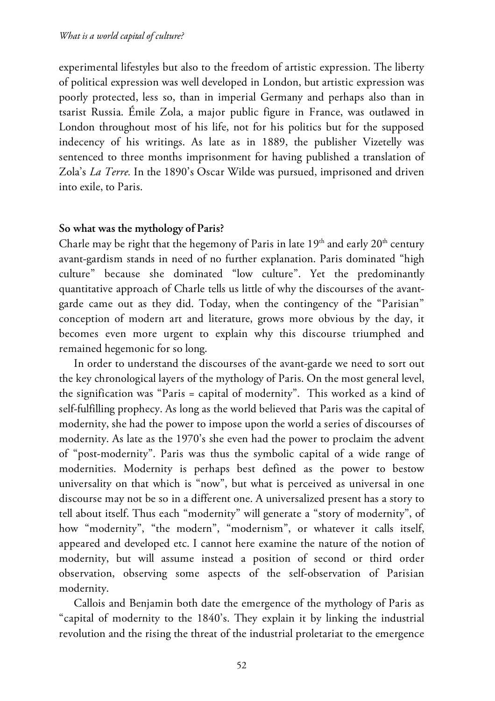experimental lifestyles but also to the freedom of artistic expression. The liberty of political expression was well developed in London, but artistic expression was poorly protected, less so, than in imperial Germany and perhaps also than in tsarist Russia. Émile Zola, a major public figure in France, was outlawed in London throughout most of his life, not for his politics but for the supposed indecency of his writings. As late as in 1889, the publisher Vizetelly was sentenced to three months imprisonment for having published a translation of Zola's *La Terre.* In the 1890's Oscar Wilde was pursued, imprisoned and driven into exile, to Paris.

#### **So what was the mythology of Paris?**

Charle may be right that the hegemony of Paris in late  $19<sup>th</sup>$  and early  $20<sup>th</sup>$  century avant-gardism stands in need of no further explanation. Paris dominated "high culture" because she dominated "low culture". Yet the predominantly quantitative approach of Charle tells us little of why the discourses of the avantgarde came out as they did. Today, when the contingency of the "Parisian" conception of modern art and literature, grows more obvious by the day, it becomes even more urgent to explain why this discourse triumphed and remained hegemonic for so long.

In order to understand the discourses of the avant-garde we need to sort out the key chronological layers of the mythology of Paris. On the most general level, the signification was "Paris = capital of modernity". This worked as a kind of self-fulfilling prophecy. As long as the world believed that Paris was the capital of modernity, she had the power to impose upon the world a series of discourses of modernity. As late as the 1970's she even had the power to proclaim the advent of "post-modernity". Paris was thus the symbolic capital of a wide range of modernities. Modernity is perhaps best defined as the power to bestow universality on that which is "now", but what is perceived as universal in one discourse may not be so in a different one. A universalized present has a story to tell about itself. Thus each "modernity" will generate a "story of modernity", of how "modernity", "the modern", "modernism", or whatever it calls itself, appeared and developed etc. I cannot here examine the nature of the notion of modernity, but will assume instead a position of second or third order observation, observing some aspects of the self-observation of Parisian modernity.

Callois and Benjamin both date the emergence of the mythology of Paris as "capital of modernity to the 1840's. They explain it by linking the industrial revolution and the rising the threat of the industrial proletariat to the emergence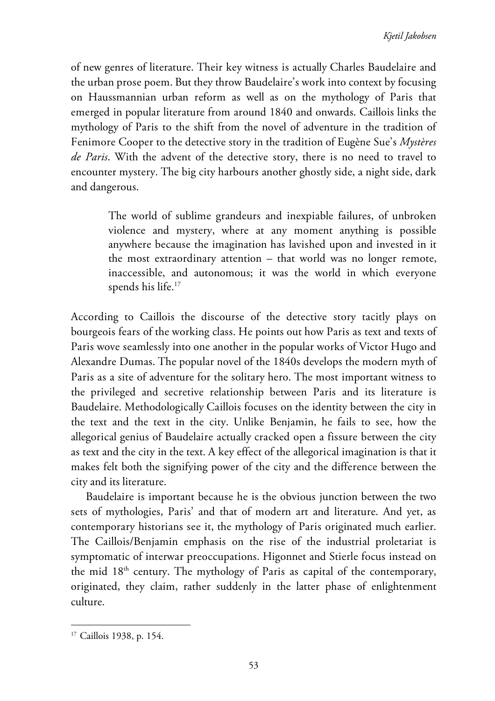of new genres of literature. Their key witness is actually Charles Baudelaire and the urban prose poem. But they throw Baudelaire's work into context by focusing on Haussmannian urban reform as well as on the mythology of Paris that emerged in popular literature from around 1840 and onwards. Caillois links the mythology of Paris to the shift from the novel of adventure in the tradition of Fenimore Cooper to the detective story in the tradition of Eugène Sue's *Mystères de Paris*. With the advent of the detective story, there is no need to travel to encounter mystery. The big city harbours another ghostly side, a night side, dark and dangerous.

> The world of sublime grandeurs and inexpiable failures, of unbroken violence and mystery, where at any moment anything is possible anywhere because the imagination has lavished upon and invested in it the most extraordinary attention – that world was no longer remote, inaccessible, and autonomous; it was the world in which everyone spends his life.<sup>17</sup>

According to Caillois the discourse of the detective story tacitly plays on bourgeois fears of the working class. He points out how Paris as text and texts of Paris wove seamlessly into one another in the popular works of Victor Hugo and Alexandre Dumas. The popular novel of the 1840s develops the modern myth of Paris as a site of adventure for the solitary hero. The most important witness to the privileged and secretive relationship between Paris and its literature is Baudelaire. Methodologically Caillois focuses on the identity between the city in the text and the text in the city. Unlike Benjamin, he fails to see, how the allegorical genius of Baudelaire actually cracked open a fissure between the city as text and the city in the text. A key effect of the allegorical imagination is that it makes felt both the signifying power of the city and the difference between the city and its literature.

Baudelaire is important because he is the obvious junction between the two sets of mythologies, Paris' and that of modern art and literature. And yet, as contemporary historians see it, the mythology of Paris originated much earlier. The Caillois/Benjamin emphasis on the rise of the industrial proletariat is symptomatic of interwar preoccupations. Higonnet and Stierle focus instead on the mid 18<sup>th</sup> century. The mythology of Paris as capital of the contemporary, originated, they claim, rather suddenly in the latter phase of enlightenment culture.

<sup>17</sup> Caillois 1938, p. 154.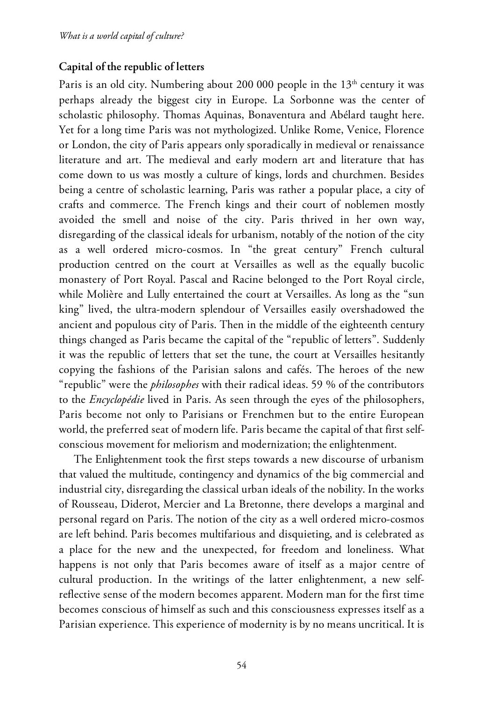#### **Capital of the republic of letters**

Paris is an old city. Numbering about 200 000 people in the  $13<sup>th</sup>$  century it was perhaps already the biggest city in Europe. La Sorbonne was the center of scholastic philosophy. Thomas Aquinas, Bonaventura and Abélard taught here. Yet for a long time Paris was not mythologized. Unlike Rome, Venice, Florence or London, the city of Paris appears only sporadically in medieval or renaissance literature and art. The medieval and early modern art and literature that has come down to us was mostly a culture of kings, lords and churchmen. Besides being a centre of scholastic learning, Paris was rather a popular place, a city of crafts and commerce. The French kings and their court of noblemen mostly avoided the smell and noise of the city. Paris thrived in her own way, disregarding of the classical ideals for urbanism, notably of the notion of the city as a well ordered micro-cosmos. In "the great century" French cultural production centred on the court at Versailles as well as the equally bucolic monastery of Port Royal. Pascal and Racine belonged to the Port Royal circle, while Molière and Lully entertained the court at Versailles. As long as the "sun king" lived, the ultra-modern splendour of Versailles easily overshadowed the ancient and populous city of Paris. Then in the middle of the eighteenth century things changed as Paris became the capital of the "republic of letters". Suddenly it was the republic of letters that set the tune, the court at Versailles hesitantly copying the fashions of the Parisian salons and cafés. The heroes of the new "republic" were the *philosophes* with their radical ideas. 59 % of the contributors to the *Encyclopédie* lived in Paris. As seen through the eyes of the philosophers, Paris become not only to Parisians or Frenchmen but to the entire European world, the preferred seat of modern life. Paris became the capital of that first selfconscious movement for meliorism and modernization; the enlightenment.

The Enlightenment took the first steps towards a new discourse of urbanism that valued the multitude, contingency and dynamics of the big commercial and industrial city, disregarding the classical urban ideals of the nobility. In the works of Rousseau, Diderot, Mercier and La Bretonne, there develops a marginal and personal regard on Paris. The notion of the city as a well ordered micro-cosmos are left behind. Paris becomes multifarious and disquieting, and is celebrated as a place for the new and the unexpected, for freedom and loneliness. What happens is not only that Paris becomes aware of itself as a major centre of cultural production. In the writings of the latter enlightenment, a new selfreflective sense of the modern becomes apparent. Modern man for the first time becomes conscious of himself as such and this consciousness expresses itself as a Parisian experience. This experience of modernity is by no means uncritical. It is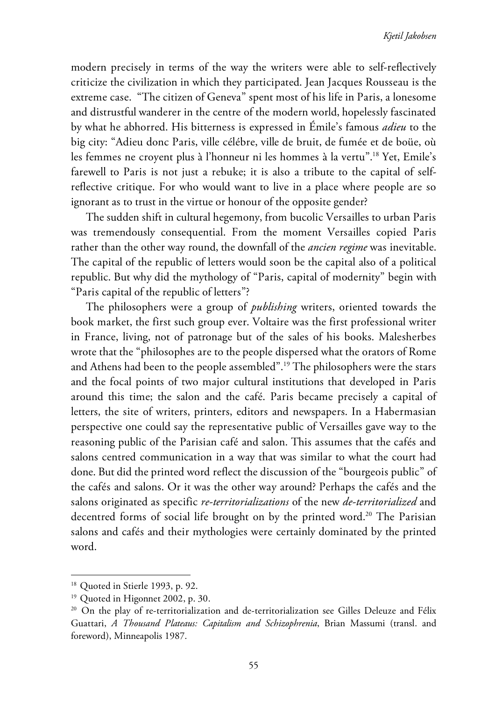modern precisely in terms of the way the writers were able to self-reflectively criticize the civilization in which they participated. Jean Jacques Rousseau is the extreme case. "The citizen of Geneva" spent most of his life in Paris, a lonesome and distrustful wanderer in the centre of the modern world, hopelessly fascinated by what he abhorred. His bitterness is expressed in Émile's famous *adieu* to the big city: "Adieu donc Paris, ville célébre, ville de bruit, de fumée et de boüe, où les femmes ne croyent plus à l'honneur ni les hommes à la vertu".<sup>18</sup> Yet, Emile's farewell to Paris is not just a rebuke; it is also a tribute to the capital of selfreflective critique. For who would want to live in a place where people are so ignorant as to trust in the virtue or honour of the opposite gender?

The sudden shift in cultural hegemony, from bucolic Versailles to urban Paris was tremendously consequential. From the moment Versailles copied Paris rather than the other way round, the downfall of the *ancien regime* was inevitable. The capital of the republic of letters would soon be the capital also of a political republic. But why did the mythology of "Paris, capital of modernity" begin with "Paris capital of the republic of letters"?

The philosophers were a group of *publishing* writers, oriented towards the book market, the first such group ever. Voltaire was the first professional writer in France, living, not of patronage but of the sales of his books. Malesherbes wrote that the "philosophes are to the people dispersed what the orators of Rome and Athens had been to the people assembled".19 The philosophers were the stars and the focal points of two major cultural institutions that developed in Paris around this time; the salon and the café. Paris became precisely a capital of letters, the site of writers, printers, editors and newspapers. In a Habermasian perspective one could say the representative public of Versailles gave way to the reasoning public of the Parisian café and salon. This assumes that the cafés and salons centred communication in a way that was similar to what the court had done. But did the printed word reflect the discussion of the "bourgeois public" of the cafés and salons. Or it was the other way around? Perhaps the cafés and the salons originated as specific *re-territorializations* of the new *de-territorialized* and decentred forms of social life brought on by the printed word.<sup>20</sup> The Parisian salons and cafés and their mythologies were certainly dominated by the printed word.

<sup>&</sup>lt;sup>18</sup> Quoted in Stierle 1993, p. 92.

<sup>&</sup>lt;sup>19</sup> Quoted in Higonnet 2002, p. 30.

<sup>&</sup>lt;sup>20</sup> On the play of re-territorialization and de-territorialization see Gilles Deleuze and Félix Guattari, *A Thousand Plateaus: Capitalism and Schizophrenia*, Brian Massumi (transl. and foreword), Minneapolis 1987.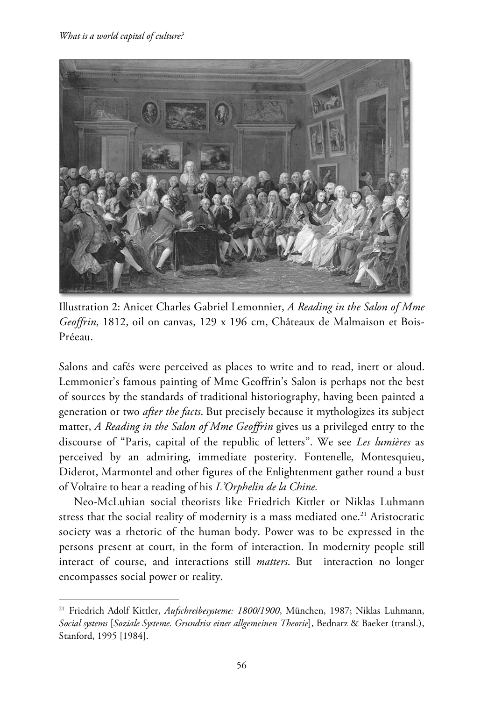$\overline{a}$ 



Illustration 2: Anicet Charles Gabriel Lemonnier, *A Reading in the Salon of Mme Geoffrin*, 1812, oil on canvas, 129 x 196 cm, Châteaux de Malmaison et Bois-Préeau.

Salons and cafés were perceived as places to write and to read, inert or aloud. Lemmonier's famous painting of Mme Geoffrin's Salon is perhaps not the best of sources by the standards of traditional historiography, having been painted a generation or two *after the facts*. But precisely because it mythologizes its subject matter, *A Reading in the Salon of Mme Geoffrin* gives us a privileged entry to the discourse of "Paris, capital of the republic of letters". We see *Les lumières* as perceived by an admiring, immediate posterity. Fontenelle, Montesquieu, Diderot, Marmontel and other figures of the Enlightenment gather round a bust of Voltaire to hear a reading of his *L'Orphelin de la Chine.* 

Neo-McLuhian social theorists like Friedrich Kittler or Niklas Luhmann stress that the social reality of modernity is a mass mediated one.<sup>21</sup> Aristocratic society was a rhetoric of the human body. Power was to be expressed in the persons present at court, in the form of interaction. In modernity people still interact of course, and interactions still *matters*. But interaction no longer encompasses social power or reality.

<sup>21</sup> Friedrich Adolf Kittler, *Aufschreibesysteme: 1800/1900*, München, 1987; Niklas Luhmann, *Social systems* [*Soziale Systeme. Grundriss einer allgemeinen Theorie*], Bednarz & Baeker (transl.), Stanford, 1995 [1984].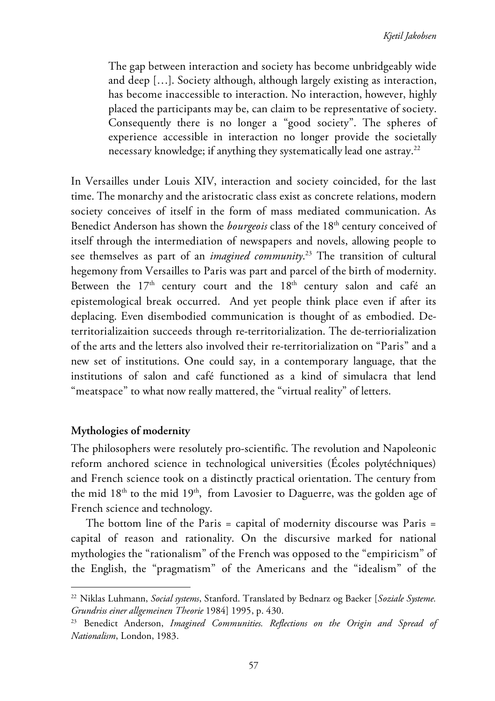The gap between interaction and society has become unbridgeably wide and deep […]. Society although, although largely existing as interaction, has become inaccessible to interaction. No interaction, however, highly placed the participants may be, can claim to be representative of society. Consequently there is no longer a "good society". The spheres of experience accessible in interaction no longer provide the societally necessary knowledge; if anything they systematically lead one astray.<sup>22</sup>

In Versailles under Louis XIV, interaction and society coincided, for the last time. The monarchy and the aristocratic class exist as concrete relations, modern society conceives of itself in the form of mass mediated communication. As Benedict Anderson has shown the *bourgeois* class of the 18<sup>th</sup> century conceived of itself through the intermediation of newspapers and novels, allowing people to see themselves as part of an *imagined community*. 23 The transition of cultural hegemony from Versailles to Paris was part and parcel of the birth of modernity. Between the  $17<sup>th</sup>$  century court and the  $18<sup>th</sup>$  century salon and café an epistemological break occurred. And yet people think place even if after its deplacing. Even disembodied communication is thought of as embodied. Deterritorializaition succeeds through re-territorialization. The de-terriorialization of the arts and the letters also involved their re-territorialization on "Paris" and a new set of institutions. One could say, in a contemporary language, that the institutions of salon and café functioned as a kind of simulacra that lend "meatspace" to what now really mattered, the "virtual reality" of letters.

#### **Mythologies of modernity**

 $\overline{a}$ 

The philosophers were resolutely pro-scientific. The revolution and Napoleonic reform anchored science in technological universities (Écoles polytéchniques) and French science took on a distinctly practical orientation. The century from the mid 18<sup>th</sup> to the mid 19<sup>th</sup>, from Lavosier to Daguerre, was the golden age of French science and technology.

The bottom line of the Paris = capital of modernity discourse was Paris = capital of reason and rationality. On the discursive marked for national mythologies the "rationalism" of the French was opposed to the "empiricism" of the English, the "pragmatism" of the Americans and the "idealism" of the

<sup>22</sup> Niklas Luhmann, *Social systems*, Stanford. Translated by Bednarz og Baeker [*Soziale Systeme. Grundriss einer allgemeinen Theorie* 1984] 1995, p. 430.

<sup>23</sup> Benedict Anderson, *Imagined Communities. Reflections on the Origin and Spread of Nationalism*, London, 1983.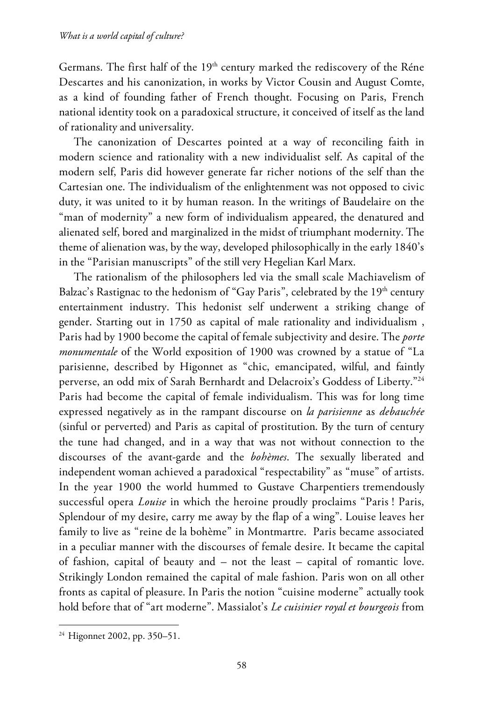Germans. The first half of the 19<sup>th</sup> century marked the rediscovery of the Réne Descartes and his canonization, in works by Victor Cousin and August Comte, as a kind of founding father of French thought. Focusing on Paris, French national identity took on a paradoxical structure, it conceived of itself as the land of rationality and universality.

The canonization of Descartes pointed at a way of reconciling faith in modern science and rationality with a new individualist self. As capital of the modern self, Paris did however generate far richer notions of the self than the Cartesian one. The individualism of the enlightenment was not opposed to civic duty, it was united to it by human reason. In the writings of Baudelaire on the "man of modernity" a new form of individualism appeared, the denatured and alienated self, bored and marginalized in the midst of triumphant modernity. The theme of alienation was, by the way, developed philosophically in the early 1840's in the "Parisian manuscripts" of the still very Hegelian Karl Marx.

The rationalism of the philosophers led via the small scale Machiavelism of Balzac's Rastignac to the hedonism of "Gay Paris", celebrated by the  $19<sup>th</sup>$  century entertainment industry. This hedonist self underwent a striking change of gender. Starting out in 1750 as capital of male rationality and individualism , Paris had by 1900 become the capital of female subjectivity and desire. The *porte monumentale* of the World exposition of 1900 was crowned by a statue of "La parisienne, described by Higonnet as "chic, emancipated, wilful, and faintly perverse, an odd mix of Sarah Bernhardt and Delacroix's Goddess of Liberty."24 Paris had become the capital of female individualism. This was for long time expressed negatively as in the rampant discourse on *la parisienne* as *debauchée* (sinful or perverted) and Paris as capital of prostitution. By the turn of century the tune had changed, and in a way that was not without connection to the discourses of the avant-garde and the *bohèmes*. The sexually liberated and independent woman achieved a paradoxical "respectability" as "muse" of artists. In the year 1900 the world hummed to Gustave Charpentiers tremendously successful opera *Louise* in which the heroine proudly proclaims "Paris ! Paris, Splendour of my desire, carry me away by the flap of a wing". Louise leaves her family to live as "reine de la bohème" in Montmartre. Paris became associated in a peculiar manner with the discourses of female desire. It became the capital of fashion, capital of beauty and – not the least – capital of romantic love. Strikingly London remained the capital of male fashion. Paris won on all other fronts as capital of pleasure. In Paris the notion "cuisine moderne" actually took hold before that of "art moderne". Massialot's *Le cuisinier royal et bourgeois* from

<sup>24</sup> Higonnet 2002, pp. 350–51.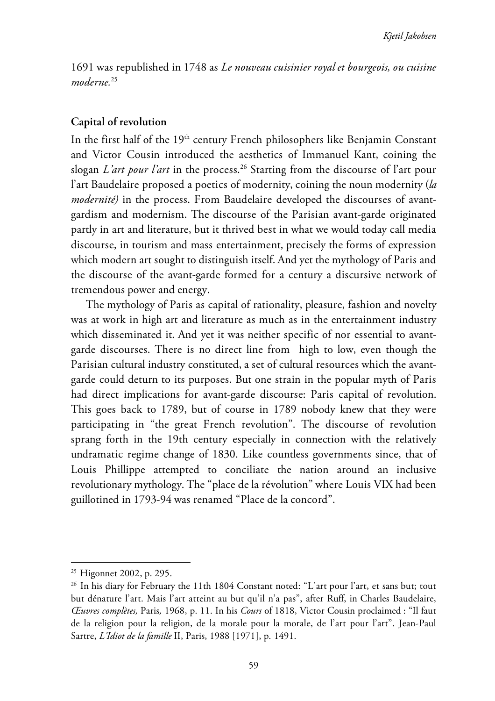1691 was republished in 1748 as *Le nouveau cuisinier royal et bourgeois, ou cuisine moderne.*<sup>25</sup>

#### **Capital of revolution**

In the first half of the 19<sup>th</sup> century French philosophers like Benjamin Constant and Victor Cousin introduced the aesthetics of Immanuel Kant, coining the slogan *L'art pour l'art* in the process.26 Starting from the discourse of l'art pour l'art Baudelaire proposed a poetics of modernity, coining the noun modernity (*la modernité)* in the process. From Baudelaire developed the discourses of avantgardism and modernism. The discourse of the Parisian avant-garde originated partly in art and literature, but it thrived best in what we would today call media discourse, in tourism and mass entertainment, precisely the forms of expression which modern art sought to distinguish itself. And yet the mythology of Paris and the discourse of the avant-garde formed for a century a discursive network of tremendous power and energy.

The mythology of Paris as capital of rationality, pleasure, fashion and novelty was at work in high art and literature as much as in the entertainment industry which disseminated it. And yet it was neither specific of nor essential to avantgarde discourses. There is no direct line from high to low, even though the Parisian cultural industry constituted, a set of cultural resources which the avantgarde could deturn to its purposes. But one strain in the popular myth of Paris had direct implications for avant-garde discourse: Paris capital of revolution. This goes back to 1789, but of course in 1789 nobody knew that they were participating in "the great French revolution". The discourse of revolution sprang forth in the 19th century especially in connection with the relatively undramatic regime change of 1830. Like countless governments since, that of Louis Phillippe attempted to conciliate the nation around an inclusive revolutionary mythology. The "place de la révolution" where Louis VIX had been guillotined in 1793-94 was renamed "Place de la concord".

<sup>25</sup> Higonnet 2002, p. 295.

<sup>&</sup>lt;sup>26</sup> In his diary for February the 11th 1804 Constant noted: "L'art pour l'art, et sans but; tout but dénature l'art. Mais l'art atteint au but qu'il n'a pas", after Ruff, in Charles Baudelaire, *Œuvres complètes,* Paris*,* 1968, p. 11. In his *Cours* of 1818, Victor Cousin proclaimed : "Il faut de la religion pour la religion, de la morale pour la morale, de l'art pour l'art". Jean-Paul Sartre, *L'Idiot de la famille* II, Paris, 1988 [1971], p. 1491.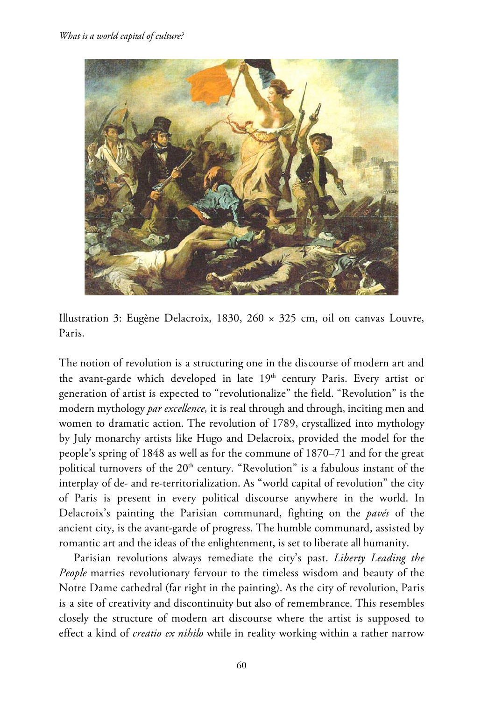



The notion of revolution is a structuring one in the discourse of modern art and the avant-garde which developed in late  $19<sup>th</sup>$  century Paris. Every artist or generation of artist is expected to "revolutionalize" the field. "Revolution" is the modern mythology *par excellence,* it is real through and through, inciting men and women to dramatic action. The revolution of 1789, crystallized into mythology by July monarchy artists like Hugo and Delacroix, provided the model for the people's spring of 1848 as well as for the commune of 1870–71 and for the great political turnovers of the  $20<sup>th</sup>$  century. "Revolution" is a fabulous instant of the interplay of de- and re-territorialization. As "world capital of revolution" the city of Paris is present in every political discourse anywhere in the world. In Delacroix's painting the Parisian communard, fighting on the *pavés* of the ancient city, is the avant-garde of progress. The humble communard, assisted by romantic art and the ideas of the enlightenment, is set to liberate all humanity.

Parisian revolutions always remediate the city's past. *Liberty Leading the People* marries revolutionary fervour to the timeless wisdom and beauty of the Notre Dame cathedral (far right in the painting). As the city of revolution, Paris is a site of creativity and discontinuity but also of remembrance. This resembles closely the structure of modern art discourse where the artist is supposed to effect a kind of *creatio ex nihilo* while in reality working within a rather narrow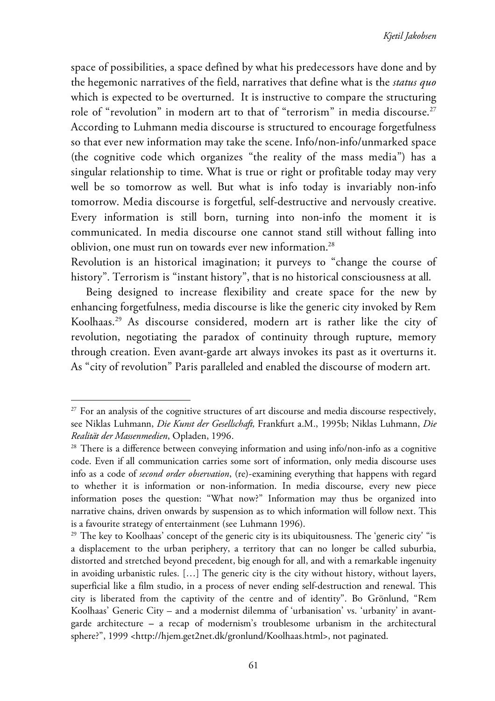space of possibilities, a space defined by what his predecessors have done and by the hegemonic narratives of the field, narratives that define what is the *status quo*  which is expected to be overturned. It is instructive to compare the structuring role of "revolution" in modern art to that of "terrorism" in media discourse.<sup>27</sup> According to Luhmann media discourse is structured to encourage forgetfulness so that ever new information may take the scene. Info/non-info/unmarked space (the cognitive code which organizes "the reality of the mass media") has a singular relationship to time. What is true or right or profitable today may very well be so tomorrow as well. But what is info today is invariably non-info tomorrow. Media discourse is forgetful, self-destructive and nervously creative. Every information is still born, turning into non-info the moment it is communicated. In media discourse one cannot stand still without falling into oblivion, one must run on towards ever new information.<sup>28</sup>

Revolution is an historical imagination; it purveys to "change the course of history". Terrorism is "instant history", that is no historical consciousness at all.

Being designed to increase flexibility and create space for the new by enhancing forgetfulness, media discourse is like the generic city invoked by Rem Koolhaas.29 As discourse considered, modern art is rather like the city of revolution, negotiating the paradox of continuity through rupture, memory through creation. Even avant-garde art always invokes its past as it overturns it. As "city of revolution" Paris paralleled and enabled the discourse of modern art.

 $27$  For an analysis of the cognitive structures of art discourse and media discourse respectively, see Niklas Luhmann, *Die Kunst der Gesellschaft,* Frankfurt a.M., 1995b; Niklas Luhmann, *Die Realität der Massenmedien*, Opladen, 1996.<br><sup>28</sup> There is a difference between conveying information and using info/non-info as a cognitive

code. Even if all communication carries some sort of information, only media discourse uses info as a code of *second order observation*, (re)-examining everything that happens with regard to whether it is information or non-information. In media discourse, every new piece information poses the question: "What now?" Information may thus be organized into narrative chains, driven onwards by suspension as to which information will follow next. This is a favourite strategy of entertainment (see Luhmann 1996).

<sup>&</sup>lt;sup>29</sup> The key to Koolhaas' concept of the generic city is its ubiquitousness. The 'generic city' "is a displacement to the urban periphery, a territory that can no longer be called suburbia, distorted and stretched beyond precedent, big enough for all, and with a remarkable ingenuity in avoiding urbanistic rules. […] The generic city is the city without history, without layers, superficial like a film studio, in a process of never ending self-destruction and renewal. This city is liberated from the captivity of the centre and of identity". Bo Grönlund, "Rem Koolhaas' Generic City – and a modernist dilemma of 'urbanisation' vs. 'urbanity' in avantgarde architecture **–** a recap of modernism's troublesome urbanism in the architectural sphere?", 1999 <http://hjem.get2net.dk/gronlund/Koolhaas.html>, not paginated.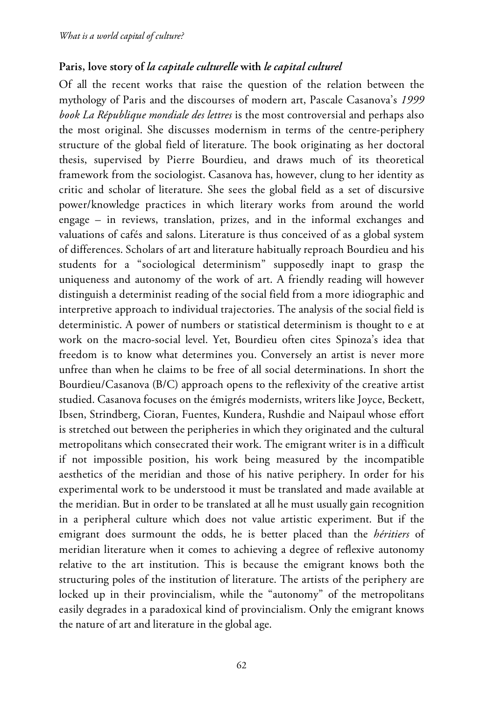### **Paris, love story of** *la capitale culturelle* **with** *le capital culturel*

Of all the recent works that raise the question of the relation between the mythology of Paris and the discourses of modern art, Pascale Casanova's *1999 book La République mondiale des lettres* is the most controversial and perhaps also the most original. She discusses modernism in terms of the centre-periphery structure of the global field of literature. The book originating as her doctoral thesis, supervised by Pierre Bourdieu, and draws much of its theoretical framework from the sociologist. Casanova has, however, clung to her identity as critic and scholar of literature. She sees the global field as a set of discursive power/knowledge practices in which literary works from around the world engage – in reviews, translation, prizes, and in the informal exchanges and valuations of cafés and salons. Literature is thus conceived of as a global system of differences. Scholars of art and literature habitually reproach Bourdieu and his students for a "sociological determinism" supposedly inapt to grasp the uniqueness and autonomy of the work of art. A friendly reading will however distinguish a determinist reading of the social field from a more idiographic and interpretive approach to individual trajectories. The analysis of the social field is deterministic. A power of numbers or statistical determinism is thought to e at work on the macro-social level. Yet, Bourdieu often cites Spinoza's idea that freedom is to know what determines you. Conversely an artist is never more unfree than when he claims to be free of all social determinations. In short the Bourdieu/Casanova (B/C) approach opens to the reflexivity of the creative artist studied. Casanova focuses on the émigrés modernists, writers like Joyce, Beckett, Ibsen, Strindberg, Cioran, Fuentes, Kundera, Rushdie and Naipaul whose effort is stretched out between the peripheries in which they originated and the cultural metropolitans which consecrated their work. The emigrant writer is in a difficult if not impossible position, his work being measured by the incompatible aesthetics of the meridian and those of his native periphery. In order for his experimental work to be understood it must be translated and made available at the meridian. But in order to be translated at all he must usually gain recognition in a peripheral culture which does not value artistic experiment. But if the emigrant does surmount the odds, he is better placed than the *héritiers* of meridian literature when it comes to achieving a degree of reflexive autonomy relative to the art institution. This is because the emigrant knows both the structuring poles of the institution of literature. The artists of the periphery are locked up in their provincialism, while the "autonomy" of the metropolitans easily degrades in a paradoxical kind of provincialism. Only the emigrant knows the nature of art and literature in the global age.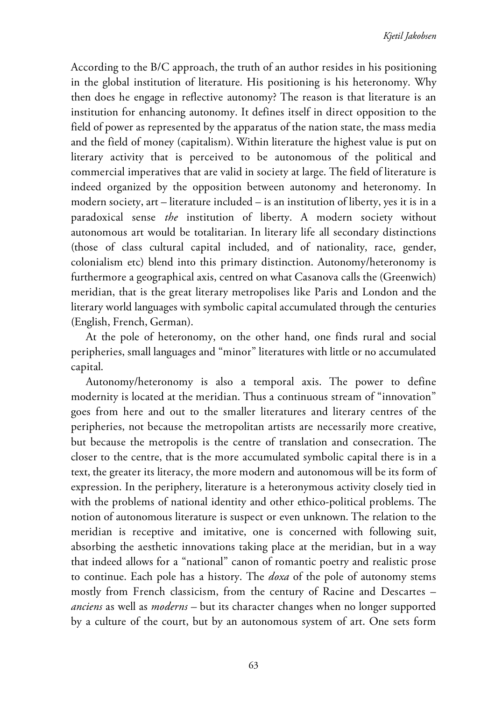According to the B/C approach, the truth of an author resides in his positioning in the global institution of literature. His positioning is his heteronomy. Why then does he engage in reflective autonomy? The reason is that literature is an institution for enhancing autonomy. It defines itself in direct opposition to the field of power as represented by the apparatus of the nation state, the mass media and the field of money (capitalism). Within literature the highest value is put on literary activity that is perceived to be autonomous of the political and commercial imperatives that are valid in society at large. The field of literature is indeed organized by the opposition between autonomy and heteronomy. In modern society, art – literature included – is an institution of liberty, yes it is in a paradoxical sense *the* institution of liberty. A modern society without autonomous art would be totalitarian. In literary life all secondary distinctions (those of class cultural capital included, and of nationality, race, gender, colonialism etc) blend into this primary distinction. Autonomy/heteronomy is furthermore a geographical axis, centred on what Casanova calls the (Greenwich) meridian, that is the great literary metropolises like Paris and London and the literary world languages with symbolic capital accumulated through the centuries (English, French, German).

At the pole of heteronomy, on the other hand, one finds rural and social peripheries, small languages and "minor" literatures with little or no accumulated capital.

Autonomy/heteronomy is also a temporal axis. The power to define modernity is located at the meridian. Thus a continuous stream of "innovation" goes from here and out to the smaller literatures and literary centres of the peripheries, not because the metropolitan artists are necessarily more creative, but because the metropolis is the centre of translation and consecration. The closer to the centre, that is the more accumulated symbolic capital there is in a text, the greater its literacy, the more modern and autonomous will be its form of expression. In the periphery, literature is a heteronymous activity closely tied in with the problems of national identity and other ethico-political problems. The notion of autonomous literature is suspect or even unknown. The relation to the meridian is receptive and imitative, one is concerned with following suit, absorbing the aesthetic innovations taking place at the meridian, but in a way that indeed allows for a "national" canon of romantic poetry and realistic prose to continue. Each pole has a history. The *doxa* of the pole of autonomy stems mostly from French classicism, from the century of Racine and Descartes – *anciens* as well as *moderns –* but its character changes when no longer supported by a culture of the court, but by an autonomous system of art. One sets form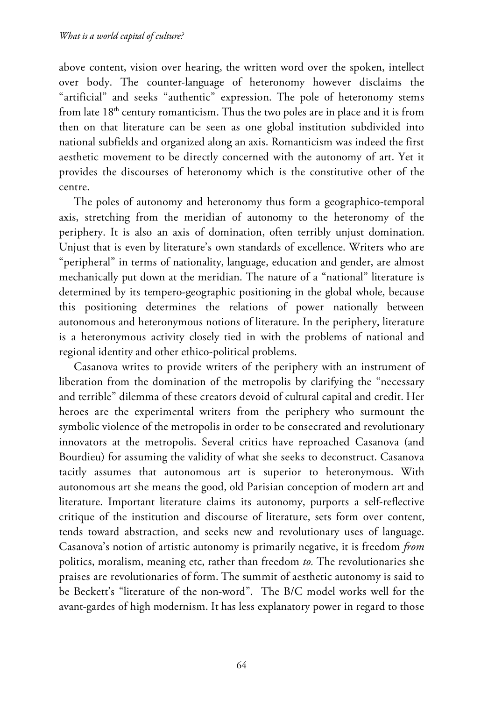above content, vision over hearing, the written word over the spoken, intellect over body. The counter-language of heteronomy however disclaims the "artificial" and seeks "authentic" expression. The pole of heteronomy stems from late  $18<sup>th</sup>$  century romanticism. Thus the two poles are in place and it is from then on that literature can be seen as one global institution subdivided into national subfields and organized along an axis. Romanticism was indeed the first aesthetic movement to be directly concerned with the autonomy of art. Yet it provides the discourses of heteronomy which is the constitutive other of the centre.

The poles of autonomy and heteronomy thus form a geographico-temporal axis, stretching from the meridian of autonomy to the heteronomy of the periphery. It is also an axis of domination, often terribly unjust domination. Unjust that is even by literature's own standards of excellence. Writers who are "peripheral" in terms of nationality, language, education and gender, are almost mechanically put down at the meridian. The nature of a "national" literature is determined by its tempero-geographic positioning in the global whole, because this positioning determines the relations of power nationally between autonomous and heteronymous notions of literature. In the periphery, literature is a heteronymous activity closely tied in with the problems of national and regional identity and other ethico-political problems.

Casanova writes to provide writers of the periphery with an instrument of liberation from the domination of the metropolis by clarifying the "necessary and terrible" dilemma of these creators devoid of cultural capital and credit. Her heroes are the experimental writers from the periphery who surmount the symbolic violence of the metropolis in order to be consecrated and revolutionary innovators at the metropolis. Several critics have reproached Casanova (and Bourdieu) for assuming the validity of what she seeks to deconstruct. Casanova tacitly assumes that autonomous art is superior to heteronymous. With autonomous art she means the good, old Parisian conception of modern art and literature. Important literature claims its autonomy, purports a self-reflective critique of the institution and discourse of literature, sets form over content, tends toward abstraction, and seeks new and revolutionary uses of language. Casanova's notion of artistic autonomy is primarily negative, it is freedom *from* politics, moralism, meaning etc, rather than freedom *to.* The revolutionaries she praises are revolutionaries of form. The summit of aesthetic autonomy is said to be Beckett's "literature of the non-word". The B/C model works well for the avant-gardes of high modernism. It has less explanatory power in regard to those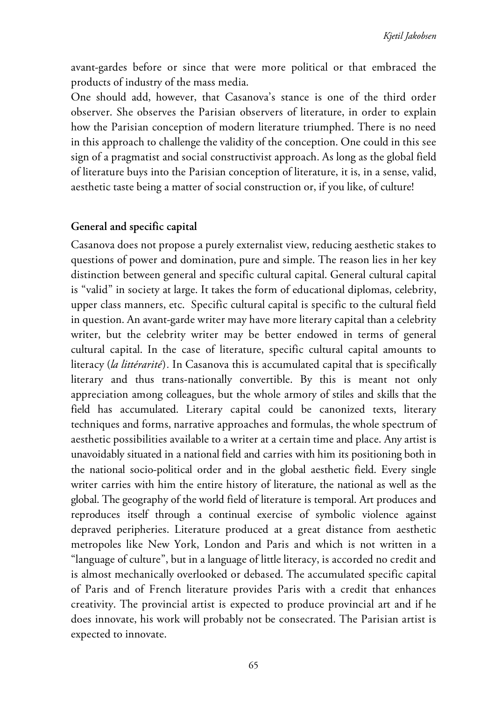avant-gardes before or since that were more political or that embraced the products of industry of the mass media.

One should add, however, that Casanova's stance is one of the third order observer. She observes the Parisian observers of literature, in order to explain how the Parisian conception of modern literature triumphed. There is no need in this approach to challenge the validity of the conception. One could in this see sign of a pragmatist and social constructivist approach. As long as the global field of literature buys into the Parisian conception of literature, it is, in a sense, valid, aesthetic taste being a matter of social construction or, if you like, of culture!

#### **General and specific capital**

Casanova does not propose a purely externalist view, reducing aesthetic stakes to questions of power and domination, pure and simple. The reason lies in her key distinction between general and specific cultural capital. General cultural capital is "valid" in society at large. It takes the form of educational diplomas, celebrity, upper class manners, etc. Specific cultural capital is specific to the cultural field in question. An avant-garde writer may have more literary capital than a celebrity writer, but the celebrity writer may be better endowed in terms of general cultural capital. In the case of literature, specific cultural capital amounts to literacy (*la littérarité*)*.* In Casanova this is accumulated capital that is specifically literary and thus trans-nationally convertible. By this is meant not only appreciation among colleagues, but the whole armory of stiles and skills that the field has accumulated. Literary capital could be canonized texts, literary techniques and forms, narrative approaches and formulas, the whole spectrum of aesthetic possibilities available to a writer at a certain time and place. Any artist is unavoidably situated in a national field and carries with him its positioning both in the national socio-political order and in the global aesthetic field. Every single writer carries with him the entire history of literature, the national as well as the global. The geography of the world field of literature is temporal. Art produces and reproduces itself through a continual exercise of symbolic violence against depraved peripheries. Literature produced at a great distance from aesthetic metropoles like New York, London and Paris and which is not written in a "language of culture", but in a language of little literacy, is accorded no credit and is almost mechanically overlooked or debased. The accumulated specific capital of Paris and of French literature provides Paris with a credit that enhances creativity. The provincial artist is expected to produce provincial art and if he does innovate, his work will probably not be consecrated. The Parisian artist is expected to innovate.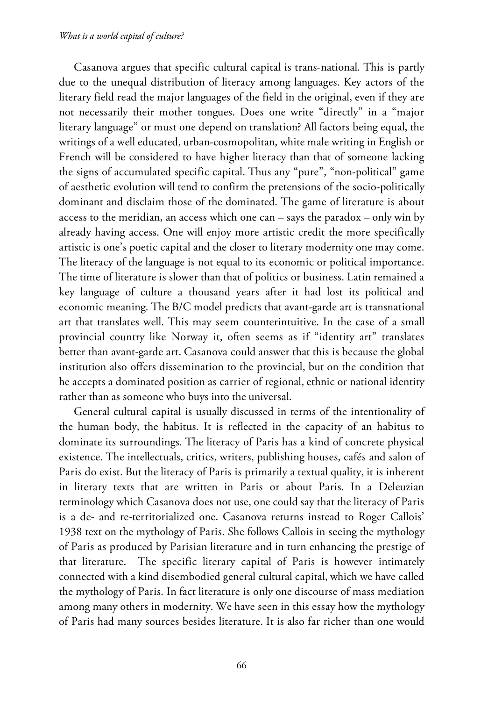Casanova argues that specific cultural capital is trans-national. This is partly due to the unequal distribution of literacy among languages. Key actors of the literary field read the major languages of the field in the original, even if they are not necessarily their mother tongues. Does one write "directly" in a "major literary language" or must one depend on translation? All factors being equal, the writings of a well educated, urban-cosmopolitan, white male writing in English or French will be considered to have higher literacy than that of someone lacking the signs of accumulated specific capital. Thus any "pure", "non-political" game of aesthetic evolution will tend to confirm the pretensions of the socio-politically dominant and disclaim those of the dominated. The game of literature is about access to the meridian, an access which one can – says the paradox – only win by already having access. One will enjoy more artistic credit the more specifically artistic is one's poetic capital and the closer to literary modernity one may come. The literacy of the language is not equal to its economic or political importance. The time of literature is slower than that of politics or business. Latin remained a key language of culture a thousand years after it had lost its political and economic meaning. The B/C model predicts that avant-garde art is transnational art that translates well. This may seem counterintuitive. In the case of a small provincial country like Norway it, often seems as if "identity art" translates better than avant-garde art. Casanova could answer that this is because the global institution also offers dissemination to the provincial, but on the condition that he accepts a dominated position as carrier of regional, ethnic or national identity rather than as someone who buys into the universal.

General cultural capital is usually discussed in terms of the intentionality of the human body, the habitus. It is reflected in the capacity of an habitus to dominate its surroundings. The literacy of Paris has a kind of concrete physical existence. The intellectuals, critics, writers, publishing houses, cafés and salon of Paris do exist. But the literacy of Paris is primarily a textual quality, it is inherent in literary texts that are written in Paris or about Paris. In a Deleuzian terminology which Casanova does not use, one could say that the literacy of Paris is a de- and re-territorialized one. Casanova returns instead to Roger Callois' 1938 text on the mythology of Paris. She follows Callois in seeing the mythology of Paris as produced by Parisian literature and in turn enhancing the prestige of that literature. The specific literary capital of Paris is however intimately connected with a kind disembodied general cultural capital, which we have called the mythology of Paris. In fact literature is only one discourse of mass mediation among many others in modernity. We have seen in this essay how the mythology of Paris had many sources besides literature. It is also far richer than one would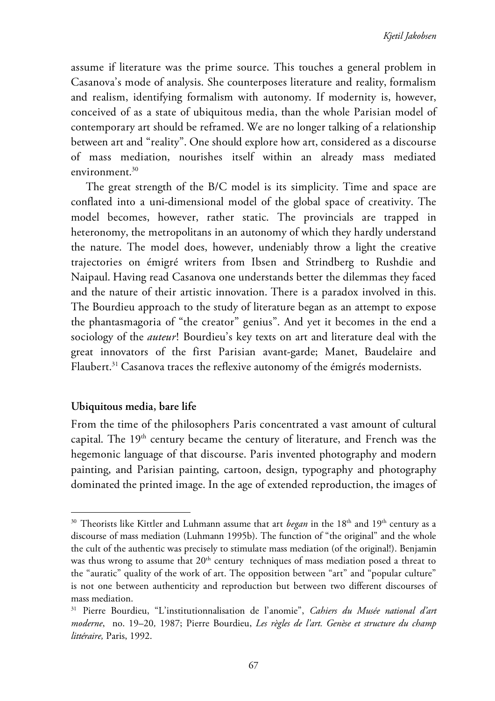assume if literature was the prime source. This touches a general problem in Casanova's mode of analysis. She counterposes literature and reality, formalism and realism, identifying formalism with autonomy. If modernity is, however, conceived of as a state of ubiquitous media, than the whole Parisian model of contemporary art should be reframed. We are no longer talking of a relationship between art and "reality". One should explore how art, considered as a discourse of mass mediation, nourishes itself within an already mass mediated environment. $30$ 

The great strength of the B/C model is its simplicity. Time and space are conflated into a uni-dimensional model of the global space of creativity. The model becomes, however, rather static. The provincials are trapped in heteronomy, the metropolitans in an autonomy of which they hardly understand the nature. The model does, however, undeniably throw a light the creative trajectories on émigré writers from Ibsen and Strindberg to Rushdie and Naipaul. Having read Casanova one understands better the dilemmas they faced and the nature of their artistic innovation. There is a paradox involved in this. The Bourdieu approach to the study of literature began as an attempt to expose the phantasmagoria of "the creator" genius". And yet it becomes in the end a sociology of the *auteur*! Bourdieu's key texts on art and literature deal with the great innovators of the first Parisian avant-garde; Manet, Baudelaire and Flaubert.<sup>31</sup> Casanova traces the reflexive autonomy of the émigrés modernists.

#### **Ubiquitous media, bare life**

 $\overline{a}$ 

From the time of the philosophers Paris concentrated a vast amount of cultural capital. The 19<sup>th</sup> century became the century of literature, and French was the hegemonic language of that discourse. Paris invented photography and modern painting, and Parisian painting, cartoon, design, typography and photography dominated the printed image. In the age of extended reproduction, the images of

<sup>&</sup>lt;sup>30</sup> Theorists like Kittler and Luhmann assume that art *began* in the 18<sup>th</sup> and 19<sup>th</sup> century as a discourse of mass mediation (Luhmann 1995b). The function of "the original" and the whole the cult of the authentic was precisely to stimulate mass mediation (of the original!). Benjamin was thus wrong to assume that  $20<sup>th</sup>$  century techniques of mass mediation posed a threat to the "auratic" quality of the work of art. The opposition between "art" and "popular culture" is not one between authenticity and reproduction but between two different discourses of mass mediation.

<sup>31</sup> Pierre Bourdieu, "L'institutionnalisation de l'anomie", *Cahiers du Musée national d'art moderne*, no. 19–20*,* 1987; Pierre Bourdieu, *Les règles de l'art. Genèse et structure du champ littéraire,* Paris, 1992.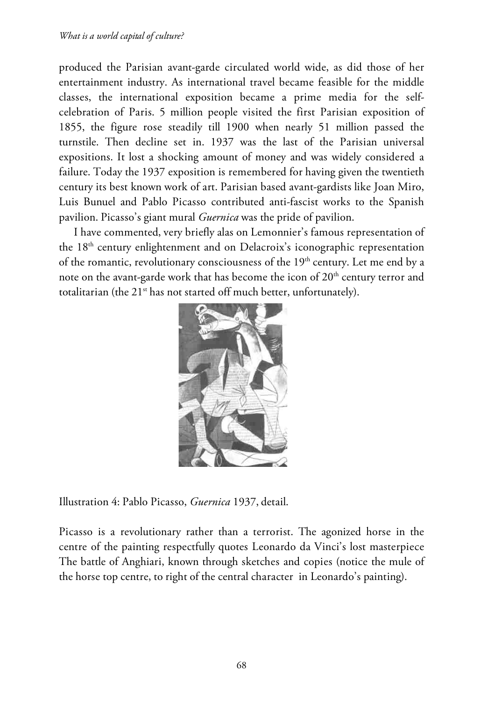produced the Parisian avant-garde circulated world wide, as did those of her entertainment industry. As international travel became feasible for the middle classes, the international exposition became a prime media for the selfcelebration of Paris. 5 million people visited the first Parisian exposition of 1855, the figure rose steadily till 1900 when nearly 51 million passed the turnstile. Then decline set in. 1937 was the last of the Parisian universal expositions. It lost a shocking amount of money and was widely considered a failure. Today the 1937 exposition is remembered for having given the twentieth century its best known work of art. Parisian based avant-gardists like Joan Miro, Luis Bunuel and Pablo Picasso contributed anti-fascist works to the Spanish pavilion. Picasso's giant mural *Guernica* was the pride of pavilion.

I have commented, very briefly alas on Lemonnier's famous representation of the 18<sup>th</sup> century enlightenment and on Delacroix's iconographic representation of the romantic, revolutionary consciousness of the  $19<sup>th</sup>$  century. Let me end by a note on the avant-garde work that has become the icon of  $20<sup>th</sup>$  century terror and totalitarian (the 21<sup>st</sup> has not started off much better, unfortunately).



Illustration 4: Pablo Picasso, *Guernica* 1937, detail.

Picasso is a revolutionary rather than a terrorist. The agonized horse in the centre of the painting respectfully quotes Leonardo da Vinci's lost masterpiece The battle of Anghiari, known through sketches and copies (notice the mule of the horse top centre, to right of the central character in Leonardo's painting).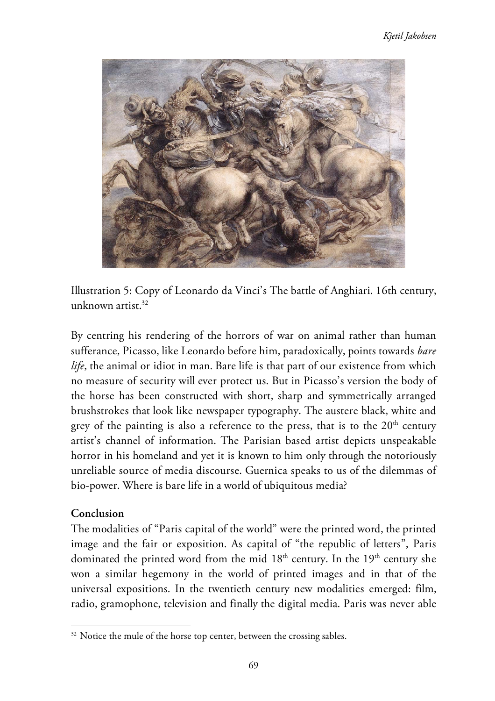

Illustration 5: Copy of Leonardo da Vinci's The battle of Anghiari. 16th century, unknown artist. $32$ 

By centring his rendering of the horrors of war on animal rather than human sufferance, Picasso, like Leonardo before him, paradoxically, points towards *bare life*, the animal or idiot in man. Bare life is that part of our existence from which no measure of security will ever protect us. But in Picasso's version the body of the horse has been constructed with short, sharp and symmetrically arranged brushstrokes that look like newspaper typography. The austere black, white and grey of the painting is also a reference to the press, that is to the  $20<sup>th</sup>$  century artist's channel of information. The Parisian based artist depicts unspeakable horror in his homeland and yet it is known to him only through the notoriously unreliable source of media discourse. Guernica speaks to us of the dilemmas of bio-power. Where is bare life in a world of ubiquitous media?

#### **Conclusion**

 $\overline{a}$ 

The modalities of "Paris capital of the world" were the printed word, the printed image and the fair or exposition. As capital of "the republic of letters", Paris dominated the printed word from the mid  $18<sup>th</sup>$  century. In the  $19<sup>th</sup>$  century she won a similar hegemony in the world of printed images and in that of the universal expositions. In the twentieth century new modalities emerged: film, radio, gramophone, television and finally the digital media. Paris was never able

<sup>&</sup>lt;sup>32</sup> Notice the mule of the horse top center, between the crossing sables.